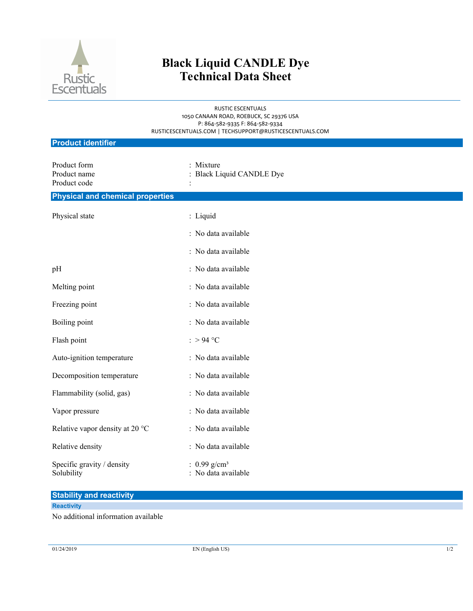

# **Black Liquid CANDLE Dye Technical Data Sheet**

RUSTIC ESCENTUALS 1050 CANAAN ROAD, ROEBUCK, SC 29376 USA P: 864-582-9335 F: 864-582-9334 RUSTICESCENTUALS.COM | TECHSUPPORT@RUSTICESCENTUALS.COM

| <b>Product identifier</b>                    |                                                   |  |
|----------------------------------------------|---------------------------------------------------|--|
| Product form<br>Product name<br>Product code | : Mixture<br><b>Black Liquid CANDLE Dye</b>       |  |
| <b>Physical and chemical properties</b>      |                                                   |  |
| Physical state                               | : Liquid                                          |  |
|                                              | : No data available                               |  |
|                                              | : No data available                               |  |
| pH                                           | : No data available                               |  |
| Melting point                                | : No data available                               |  |
| Freezing point                               | : No data available                               |  |
| Boiling point                                | : No data available                               |  |
| Flash point                                  | : > 94 °C                                         |  |
| Auto-ignition temperature                    | : No data available                               |  |
| Decomposition temperature                    | : No data available                               |  |
| Flammability (solid, gas)                    | : No data available                               |  |
| Vapor pressure                               | : No data available                               |  |
| Relative vapor density at 20 °C              | : No data available                               |  |
| Relative density                             | : No data available                               |  |
| Specific gravity / density<br>Solubility     | : $0.99$ g/cm <sup>3</sup><br>: No data available |  |

### **Stability and reactivity**

### **Reactivity**

No additional information available